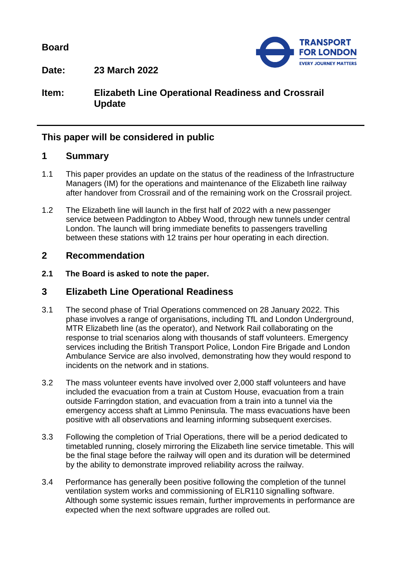**Board**



**Date: 23 March 2022**

## **Item: Elizabeth Line Operational Readiness and Crossrail Update**

## **This paper will be considered in public**

#### **1 Summary**

- 1.1 This paper provides an update on the status of the readiness of the Infrastructure Managers (IM) for the operations and maintenance of the Elizabeth line railway after handover from Crossrail and of the remaining work on the Crossrail project.
- 1.2 The Elizabeth line will launch in the first half of 2022 with a new passenger service between Paddington to Abbey Wood, through new tunnels under central London. The launch will bring immediate benefits to passengers travelling between these stations with 12 trains per hour operating in each direction.

#### **2 Recommendation**

**2.1 The Board is asked to note the paper.**

#### **3 Elizabeth Line Operational Readiness**

- 3.1 The second phase of Trial Operations commenced on 28 January 2022. This phase involves a range of organisations, including TfL and London Underground, MTR Elizabeth line (as the operator), and Network Rail collaborating on the response to trial scenarios along with thousands of staff volunteers. Emergency services including the British Transport Police, London Fire Brigade and London Ambulance Service are also involved, demonstrating how they would respond to incidents on the network and in stations.
- 3.2 The mass volunteer events have involved over 2,000 staff volunteers and have included the evacuation from a train at Custom House, evacuation from a train outside Farringdon station, and evacuation from a train into a tunnel via the emergency access shaft at Limmo Peninsula. The mass evacuations have been positive with all observations and learning informing subsequent exercises.
- 3.3 Following the completion of Trial Operations, there will be a period dedicated to timetabled running, closely mirroring the Elizabeth line service timetable. This will be the final stage before the railway will open and its duration will be determined by the ability to demonstrate improved reliability across the railway.
- 3.4 Performance has generally been positive following the completion of the tunnel ventilation system works and commissioning of ELR110 signalling software. Although some systemic issues remain, further improvements in performance are expected when the next software upgrades are rolled out.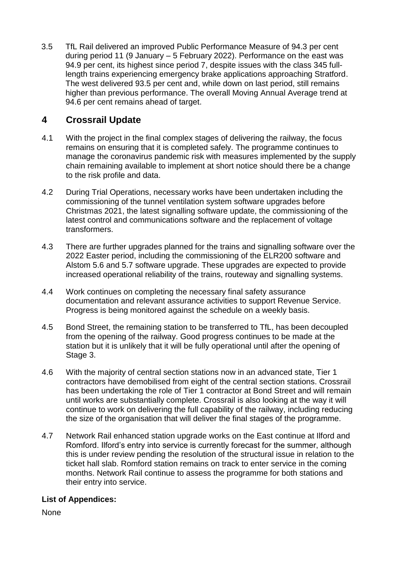3.5 TfL Rail delivered an improved Public Performance Measure of 94.3 per cent during period 11 (9 January – 5 February 2022). Performance on the east was 94.9 per cent, its highest since period 7, despite issues with the class 345 fulllength trains experiencing emergency brake applications approaching Stratford. The west delivered 93.5 per cent and, while down on last period, still remains higher than previous performance. The overall Moving Annual Average trend at 94.6 per cent remains ahead of target.

# **4 Crossrail Update**

- 4.1 With the project in the final complex stages of delivering the railway, the focus remains on ensuring that it is completed safely. The programme continues to manage the coronavirus pandemic risk with measures implemented by the supply chain remaining available to implement at short notice should there be a change to the risk profile and data.
- 4.2 During Trial Operations, necessary works have been undertaken including the commissioning of the tunnel ventilation system software upgrades before Christmas 2021, the latest signalling software update, the commissioning of the latest control and communications software and the replacement of voltage transformers.
- 4.3 There are further upgrades planned for the trains and signalling software over the 2022 Easter period, including the commissioning of the ELR200 software and Alstom 5.6 and 5.7 software upgrade. These upgrades are expected to provide increased operational reliability of the trains, routeway and signalling systems.
- 4.4 Work continues on completing the necessary final safety assurance documentation and relevant assurance activities to support Revenue Service. Progress is being monitored against the schedule on a weekly basis.
- 4.5 Bond Street, the remaining station to be transferred to TfL, has been decoupled from the opening of the railway. Good progress continues to be made at the station but it is unlikely that it will be fully operational until after the opening of Stage 3.
- 4.6 With the majority of central section stations now in an advanced state, Tier 1 contractors have demobilised from eight of the central section stations. Crossrail has been undertaking the role of Tier 1 contractor at Bond Street and will remain until works are substantially complete. Crossrail is also looking at the way it will continue to work on delivering the full capability of the railway, including reducing the size of the organisation that will deliver the final stages of the programme.
- 4.7 Network Rail enhanced station upgrade works on the East continue at Ilford and Romford. Ilford's entry into service is currently forecast for the summer, although this is under review pending the resolution of the structural issue in relation to the ticket hall slab. Romford station remains on track to enter service in the coming months. Network Rail continue to assess the programme for both stations and their entry into service.

#### **List of Appendices:**

**None**